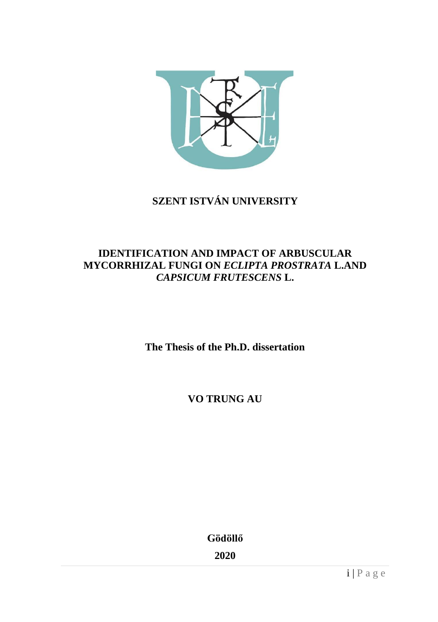

# **SZENT ISTVÁN UNIVERSITY**

#### **IDENTIFICATION AND IMPACT OF ARBUSCULAR MYCORRHIZAL FUNGI ON** *ECLIPTA PROSTRATA* **L.AND**  *CAPSICUM FRUTESCENS* **L.**

**The Thesis of the Ph.D. dissertation**

**VO TRUNG AU**

**Gödöllő 2020**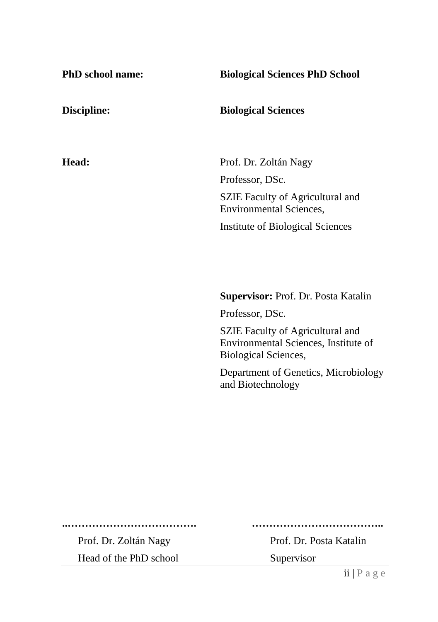| <b>PhD</b> school name: | <b>Biological Sciences PhD School</b>                                                                          |  |  |  |  |
|-------------------------|----------------------------------------------------------------------------------------------------------------|--|--|--|--|
| Discipline:             | <b>Biological Sciences</b>                                                                                     |  |  |  |  |
|                         |                                                                                                                |  |  |  |  |
| Head:                   | Prof. Dr. Zoltán Nagy                                                                                          |  |  |  |  |
|                         | Professor, DSc.                                                                                                |  |  |  |  |
|                         | <b>SZIE Faculty of Agricultural and</b><br><b>Environmental Sciences,</b>                                      |  |  |  |  |
|                         | Institute of Biological Sciences                                                                               |  |  |  |  |
|                         |                                                                                                                |  |  |  |  |
|                         | <b>Supervisor: Prof. Dr. Posta Katalin</b>                                                                     |  |  |  |  |
|                         | Professor, DSc.                                                                                                |  |  |  |  |
|                         | <b>SZIE Faculty of Agricultural and</b><br>Environmental Sciences, Institute of<br><b>Biological Sciences,</b> |  |  |  |  |
|                         | Department of Genetics, Microbiology<br>and Biotechnology                                                      |  |  |  |  |
|                         |                                                                                                                |  |  |  |  |

Prof. Dr. Zoltán Nagy Prof. Dr. Posta Katalin

Head of the PhD school Supervisor

**..………………………………. ………………………………..**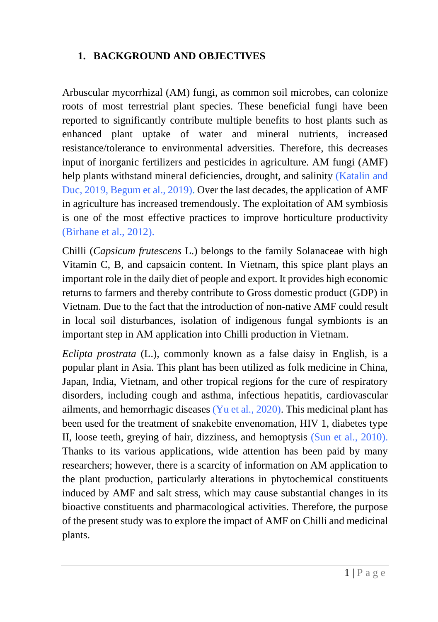### **1. BACKGROUND AND OBJECTIVES**

Arbuscular mycorrhizal (AM) fungi, as common soil microbes, can colonize roots of most terrestrial plant species. These beneficial fungi have been reported to significantly contribute multiple benefits to host plants such as enhanced plant uptake of water and mineral nutrients, increased resistance/tolerance to environmental adversities. Therefore, this decreases input of inorganic fertilizers and pesticides in agriculture. AM fungi (AMF) help plants withstand mineral deficiencies, drought, and salinity (Katalin and Duc, 2019, Begum et al., 2019). Over the last decades, the application of AMF in agriculture has increased tremendously. The exploitation of AM symbiosis is one of the most effective practices to improve horticulture productivity (Birhane et al., 2012).

Chilli (*Capsicum frutescens* L.) belongs to the family Solanaceae with high Vitamin C, B, and capsaicin content. In Vietnam, this spice plant plays an important role in the daily diet of people and export. It provides high economic returns to farmers and thereby contribute to Gross domestic product (GDP) in Vietnam. Due to the fact that the introduction of non-native AMF could result in local soil disturbances, isolation of indigenous fungal symbionts is an important step in AM application into Chilli production in Vietnam.

*Eclipta prostrata* (L.), commonly known as a false daisy in English, is a popular plant in Asia. This plant has been utilized as folk medicine in China, Japan, India, Vietnam, and other tropical regions for the cure of respiratory disorders, including cough and asthma, infectious hepatitis, cardiovascular ailments, and hemorrhagic diseases (Yu et al., 2020). This medicinal plant has been used for the treatment of snakebite envenomation, HIV 1, diabetes type II, loose teeth, greying of hair, dizziness, and hemoptysis (Sun et al., 2010). Thanks to its various applications, wide attention has been paid by many researchers; however, there is a scarcity of information on AM application to the plant production, particularly alterations in phytochemical constituents induced by AMF and salt stress, which may cause substantial changes in its bioactive constituents and pharmacological activities. Therefore, the purpose of the present study was to explore the impact of AMF on Chilli and medicinal plants.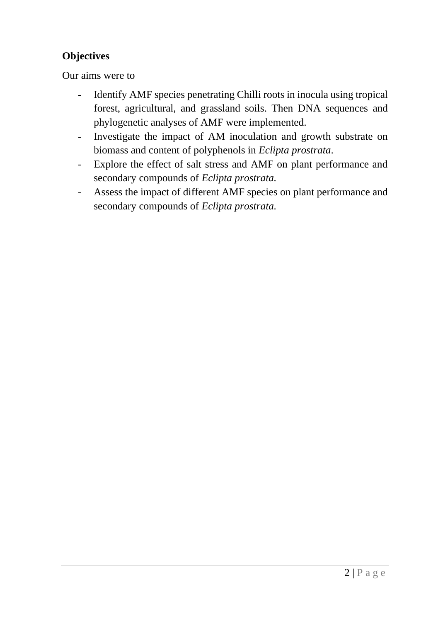### **Objectives**

Our aims were to

- Identify AMF species penetrating Chilli roots in inocula using tropical forest, agricultural, and grassland soils. Then DNA sequences and phylogenetic analyses of AMF were implemented.
- Investigate the impact of AM inoculation and growth substrate on biomass and content of polyphenols in *Eclipta prostrata*.
- Explore the effect of salt stress and AMF on plant performance and secondary compounds of *Eclipta prostrata.*
- Assess the impact of different AMF species on plant performance and secondary compounds of *Eclipta prostrata.*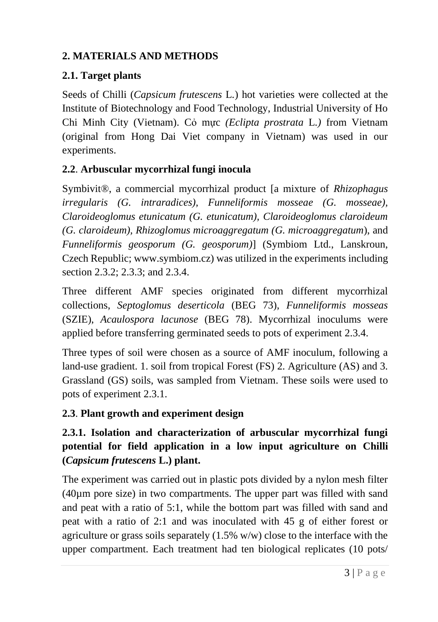### **2. MATERIALS AND METHODS**

### **2.1. Target plants**

Seeds of Chilli (*Capsicum frutescens* L*.*) hot varieties were collected at the Institute of Biotechnology and Food Technology, Industrial University of Ho Chi Minh City (Vietnam). Cỏ mực *(Eclipta prostrata* L*.)* from Vietnam (original from Hong Dai Viet company in Vietnam) was used in our experiments.

### **2.2**. **Arbuscular mycorrhizal fungi inocula**

Symbivit®, a commercial mycorrhizal product [a mixture of *Rhizophagus irregularis (G. intraradices), Funneliformis mosseae (G. mosseae), Claroideoglomus etunicatum (G. etunicatum), Claroideoglomus claroideum (G. claroideum), Rhizoglomus microaggregatum (G. microaggregatum*), and *Funneliformis geosporum (G. geosporum)*] (Symbiom Ltd., Lanskroun, Czech Republic; www.symbiom.cz) was utilized in the experiments including section 2.3.2; 2.3.3; and 2.3.4.

Three different AMF species originated from different mycorrhizal collections, *Septoglomus deserticola* (BEG 73), *Funneliformis mosseas* (SZIE), *Acaulospora lacunose* (BEG 78). Mycorrhizal inoculums were applied before transferring germinated seeds to pots of experiment 2.3.4.

Three types of soil were chosen as a source of AMF inoculum, following a land-use gradient. 1. soil from tropical Forest (FS) 2. Agriculture (AS) and 3. Grassland (GS) soils, was sampled from Vietnam. These soils were used to pots of experiment 2.3.1.

## **2.3**. **Plant growth and experiment design**

## **2.3.1. Isolation and characterization of arbuscular mycorrhizal fungi potential for field application in a low input agriculture on Chilli (***Capsicum frutescens* **L.) plant.**

The experiment was carried out in plastic pots divided by a nylon mesh filter (40µm pore size) in two compartments. The upper part was filled with sand and peat with a ratio of 5:1, while the bottom part was filled with sand and peat with a ratio of 2:1 and was inoculated with 45 g of either forest or agriculture or grass soils separately (1.5% w/w) close to the interface with the upper compartment. Each treatment had ten biological replicates (10 pots/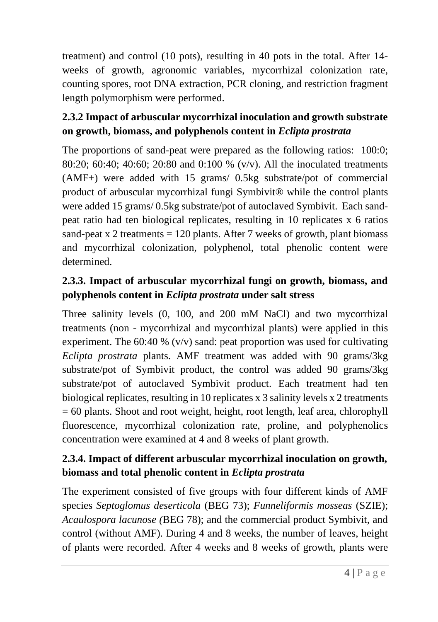treatment) and control (10 pots), resulting in 40 pots in the total. After 14 weeks of growth, agronomic variables, mycorrhizal colonization rate, counting spores, root DNA extraction, PCR cloning, and restriction fragment length polymorphism were performed.

## **2.3.2 Impact of arbuscular mycorrhizal inoculation and growth substrate on growth, biomass, and polyphenols content in** *Eclipta prostrata*

The proportions of sand-peat were prepared as the following ratios: 100:0; 80:20; 60:40; 40:60; 20:80 and 0:100 % (v/v). All the inoculated treatments (AMF+) were added with 15 grams/ 0.5kg substrate/pot of commercial product of arbuscular mycorrhizal fungi Symbivit® while the control plants were added 15 grams/ 0.5kg substrate/pot of autoclaved Symbivit. Each sandpeat ratio had ten biological replicates, resulting in 10 replicates x 6 ratios sand-peat x 2 treatments  $= 120$  plants. After 7 weeks of growth, plant biomass and mycorrhizal colonization, polyphenol, total phenolic content were determined.

## **2.3.3. Impact of arbuscular mycorrhizal fungi on growth, biomass, and polyphenols content in** *Eclipta prostrata* **under salt stress**

Three salinity levels (0, 100, and 200 mM NaCl) and two mycorrhizal treatments (non - mycorrhizal and mycorrhizal plants) were applied in this experiment. The 60:40 %  $(v/v)$  sand: peat proportion was used for cultivating *Eclipta prostrata* plants. AMF treatment was added with 90 grams/3kg substrate/pot of Symbivit product, the control was added 90 grams/3kg substrate/pot of autoclaved Symbivit product. Each treatment had ten biological replicates, resulting in 10 replicates x 3 salinity levels x 2 treatments = 60 plants. Shoot and root weight, height, root length, leaf area, chlorophyll fluorescence, mycorrhizal colonization rate, proline, and polyphenolics concentration were examined at 4 and 8 weeks of plant growth.

## **2.3.4. Impact of different arbuscular mycorrhizal inoculation on growth, biomass and total phenolic content in** *Eclipta prostrata*

The experiment consisted of five groups with four different kinds of AMF species *Septoglomus deserticola* (BEG 73); *Funneliformis mosseas* (SZIE); *Acaulospora lacunose (*BEG 78); and the commercial product Symbivit, and control (without AMF). During 4 and 8 weeks, the number of leaves, height of plants were recorded. After 4 weeks and 8 weeks of growth, plants were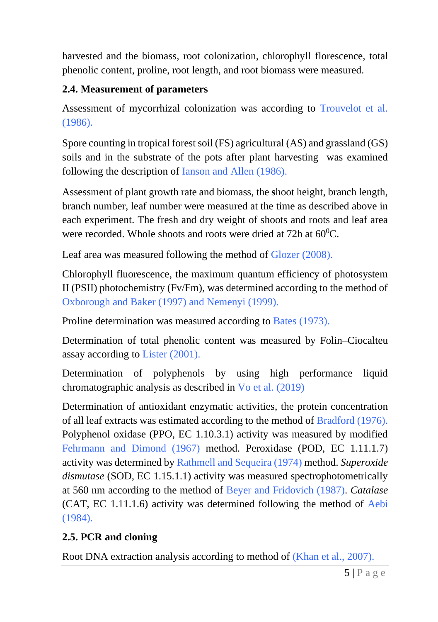harvested and the biomass, root colonization, chlorophyll florescence, total phenolic content, proline, root length, and root biomass were measured.

## **2.4. Measurement of parameters**

Assessment of mycorrhizal colonization was according to Trouvelot et al. (1986).

Spore counting in tropical forest soil (FS) agricultural (AS) and grassland (GS) soils and in the substrate of the pots after plant harvesting was examined following the description of Ianson and Allen (1986).

Assessment of plant growth rate and biomass, the **s**hoot height, branch length, branch number, leaf number were measured at the time as described above in each experiment. The fresh and dry weight of shoots and roots and leaf area were recorded. Whole shoots and roots were dried at  $72h$  at  $60^0C$ .

Leaf area was measured following the method of Glozer (2008).

Chlorophyll fluorescence, the maximum quantum efficiency of photosystem II (PSII) photochemistry (Fv/Fm), was determined according to the method of Oxborough and Baker (1997) and Nemenyi (1999).

Proline determination was measured according to Bates (1973).

Determination of total phenolic content was measured by Folin–Ciocalteu assay according to Lister (2001).

Determination of polyphenols by using high performance liquid chromatographic analysis as described in Vo et al. (2019)

Determination of antioxidant enzymatic activities, the protein concentration of all leaf extracts was estimated according to the method of Bradford (1976). Polyphenol oxidase (PPO, EC 1.10.3.1) activity was measured by modified Fehrmann and Dimond (1967) method. Peroxidase (POD, EC 1.11.1.7) activity was determined by Rathmell and Sequeira (1974) method. *Superoxide dismutase* (SOD, EC 1.15.1.1) activity was measured spectrophotometrically at 560 nm according to the method of Beyer and Fridovich (1987). *Catalase* (CAT, EC 1.11.1.6) activity was determined following the method of Aebi (1984).

## **2.5. PCR and cloning**

Root DNA extraction analysis according to method of (Khan et al., 2007).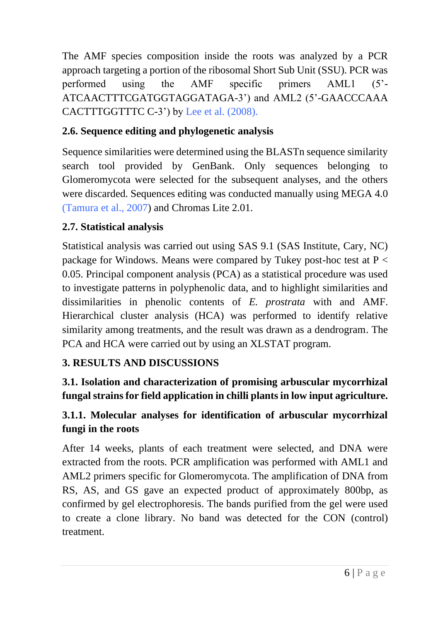The AMF species composition inside the roots was analyzed by a PCR approach targeting a portion of the ribosomal Short Sub Unit (SSU). PCR was performed using the AMF specific primers AML1 (5'- ATCAACTTTCGATGGTAGGATAGA-3') and AML2 (5'-GAACCCAAA CACTTTGGTTTC C-3') by Lee et al. (2008).

### **2.6. Sequence editing and phylogenetic analysis**

Sequence similarities were determined using the BLASTn sequence similarity search tool provided by GenBank. Only sequences belonging to Glomeromycota were selected for the subsequent analyses, and the others were discarded. Sequences editing was conducted manually using MEGA 4.0 (Tamura et al., 2007) and Chromas Lite 2.01.

### **2.7. Statistical analysis**

Statistical analysis was carried out using SAS 9.1 (SAS Institute, Cary, NC) package for Windows. Means were compared by Tukey post-hoc test at P < 0.05. Principal component analysis (PCA) as a statistical procedure was used to investigate patterns in polyphenolic data, and to highlight similarities and dissimilarities in phenolic contents of *E. prostrata* with and AMF. Hierarchical cluster analysis (HCA) was performed to identify relative similarity among treatments, and the result was drawn as a dendrogram. The PCA and HCA were carried out by using an XLSTAT program.

### **3. RESULTS AND DISCUSSIONS**

**3.1. Isolation and characterization of promising arbuscular mycorrhizal fungal strains for field application in chilli plants in low input agriculture.**

## **3.1.1. Molecular analyses for identification of arbuscular mycorrhizal fungi in the roots**

After 14 weeks, plants of each treatment were selected, and DNA were extracted from the roots. PCR amplification was performed with AML1 and AML2 primers specific for Glomeromycota. The amplification of DNA from RS, AS, and GS gave an expected product of approximately 800bp, as confirmed by gel electrophoresis. The bands purified from the gel were used to create a clone library. No band was detected for the CON (control) treatment.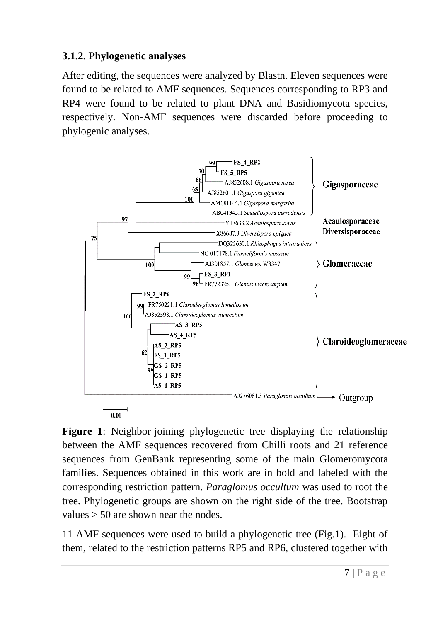### **3.1.2. Phylogenetic analyses**

After editing, the sequences were analyzed by Blastn. Eleven sequences were found to be related to AMF sequences. Sequences corresponding to RP3 and RP4 were found to be related to plant DNA and Basidiomycota species, respectively. Non-AMF sequences were discarded before proceeding to phylogenic analyses.



**Figure 1**: Neighbor-joining phylogenetic tree displaying the relationship between the AMF sequences recovered from Chilli roots and 21 reference sequences from GenBank representing some of the main Glomeromycota families. Sequences obtained in this work are in bold and labeled with the corresponding restriction pattern. *Paraglomus occultum* was used to root the tree. Phylogenetic groups are shown on the right side of the tree. Bootstrap values  $> 50$  are shown near the nodes.

11 AMF sequences were used to build a phylogenetic tree (Fig.1). Eight of them, related to the restriction patterns RP5 and RP6, clustered together with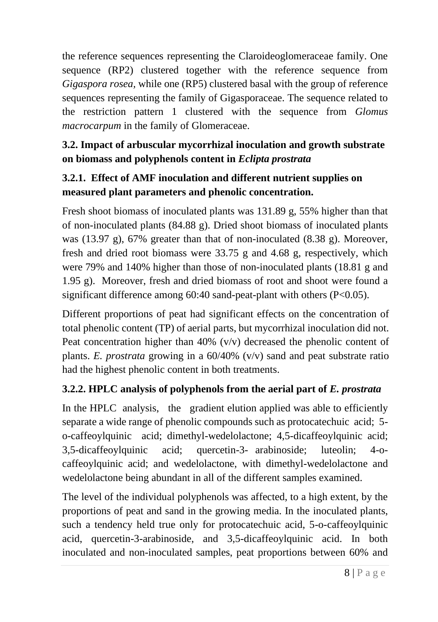the reference sequences representing the Claroideoglomeraceae family. One sequence (RP2) clustered together with the reference sequence from *Gigaspora rosea,* while one (RP5) clustered basal with the group of reference sequences representing the family of Gigasporaceae. The sequence related to the restriction pattern 1 clustered with the sequence from *Glomus macrocarpum* in the family of Glomeraceae.

## **3.2. Impact of arbuscular mycorrhizal inoculation and growth substrate on biomass and polyphenols content in** *Eclipta prostrata*

## **3.2.1. Effect of AMF inoculation and different nutrient supplies on measured plant parameters and phenolic concentration.**

Fresh shoot biomass of inoculated plants was 131.89 g, 55% higher than that of non-inoculated plants (84.88 g). Dried shoot biomass of inoculated plants was (13.97 g), 67% greater than that of non-inoculated (8.38 g). Moreover, fresh and dried root biomass were 33.75 g and 4.68 g, respectively, which were 79% and 140% higher than those of non-inoculated plants (18.81 g and 1.95 g). Moreover, fresh and dried biomass of root and shoot were found a significant difference among 60:40 sand-peat-plant with others (P<0.05).

Different proportions of peat had significant effects on the concentration of total phenolic content (TP) of aerial parts, but mycorrhizal inoculation did not. Peat concentration higher than  $40\%$  (v/v) decreased the phenolic content of plants. *E. prostrata* growing in a 60/40% (v/v) sand and peat substrate ratio had the highest phenolic content in both treatments.

## **3.2.2. HPLC analysis of polyphenols from the aerial part of** *E. prostrata*

In the HPLC analysis, the gradient elution applied was able to efficiently separate a wide range of phenolic compounds such as protocatechuic acid; 5 o-caffeoylquinic acid; dimethyl-wedelolactone; 4,5-dicaffeoylquinic acid; 3,5-dicaffeoylquinic acid; quercetin-3- arabinoside; luteolin; 4-ocaffeoylquinic acid; and wedelolactone, with dimethyl-wedelolactone and wedelolactone being abundant in all of the different samples examined.

The level of the individual polyphenols was affected, to a high extent, by the proportions of peat and sand in the growing media. In the inoculated plants, such a tendency held true only for protocatechuic acid, 5-o-caffeoylquinic acid, quercetin-3-arabinoside, and 3,5-dicaffeoylquinic acid. In both inoculated and non-inoculated samples, peat proportions between 60% and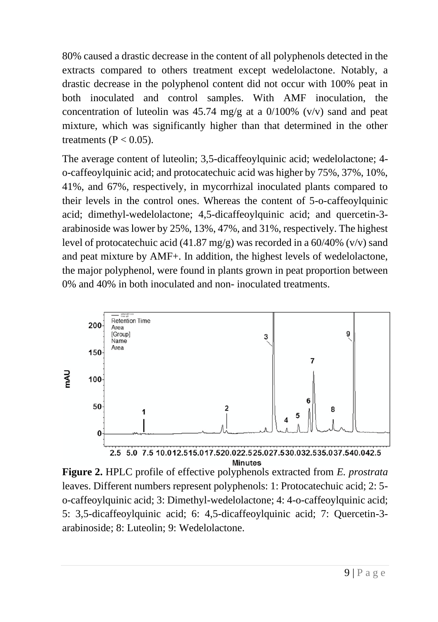80% caused a drastic decrease in the content of all polyphenols detected in the extracts compared to others treatment except wedelolactone. Notably, a drastic decrease in the polyphenol content did not occur with 100% peat in both inoculated and control samples. With AMF inoculation, the concentration of luteolin was  $45.74 \text{ mg/g}$  at a  $0/100\%$  (v/v) sand and peat mixture, which was significantly higher than that determined in the other treatments ( $P < 0.05$ ).

The average content of luteolin; 3,5-dicaffeoylquinic acid; wedelolactone; 4 o-caffeoylquinic acid; and protocatechuic acid was higher by 75%, 37%, 10%, 41%, and 67%, respectively, in mycorrhizal inoculated plants compared to their levels in the control ones. Whereas the content of 5-o-caffeoylquinic acid; dimethyl-wedelolactone; 4,5-dicaffeoylquinic acid; and quercetin-3 arabinoside was lower by 25%, 13%, 47%, and 31%, respectively. The highest level of protocatechuic acid (41.87 mg/g) was recorded in a  $60/40\%$  (v/v) sand and peat mixture by AMF+. In addition, the highest levels of wedelolactone, the major polyphenol, were found in plants grown in peat proportion between 0% and 40% in both inoculated and non- inoculated treatments.



**Figure 2.** HPLC profile of effective polyphenols extracted from *E. prostrata*  leaves. Different numbers represent polyphenols: 1: Protocatechuic acid; 2: 5 o-caffeoylquinic acid; 3: Dimethyl-wedelolactone; 4: 4-o-caffeoylquinic acid; 5: 3,5-dicaffeoylquinic acid; 6: 4,5-dicaffeoylquinic acid; 7: Quercetin-3 arabinoside; 8: Luteolin; 9: Wedelolactone.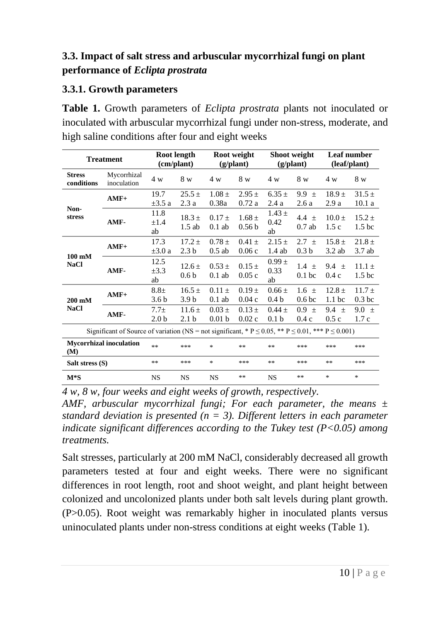## **3.3. Impact of salt stress and arbuscular mycorrhizal fungi on plant performance of** *Eclipta prostrata*

#### **3.3.1. Growth parameters**

**Table 1.** Growth parameters of *Eclipta prostrata* plants not inoculated or inoculated with arbuscular mycorrhizal fungi under non-stress, moderate, and high saline conditions after four and eight weeks

| <b>Treatment</b>                                                                                                 |                                | Root length<br>(cm/plant)            |                                | Root weight<br>$(g/\text{plant})$ |                                 | Shoot weight<br>$(g/\text{plant})$ |                                | Leaf number<br>(leaf/plant)       |                                 |  |
|------------------------------------------------------------------------------------------------------------------|--------------------------------|--------------------------------------|--------------------------------|-----------------------------------|---------------------------------|------------------------------------|--------------------------------|-----------------------------------|---------------------------------|--|
| <b>Stress</b><br>conditions                                                                                      | Mycorrhizal<br>inoculation     | 4 w                                  | 8 w                            | 4 w                               | 8 w                             | 4 w                                | 8 w                            | 4 w                               | 8 w                             |  |
| Non-<br>stress                                                                                                   | $AMF+$                         | 19.7<br>$\pm 3.5$ a                  | $25.5 \pm$<br>2.3a             | $1.08 \pm$<br>0.38a               | $2.95 \pm$<br>0.72a             | $6.35 \pm$<br>2.4a                 | $9.9 \pm$<br>2.6a              | $18.9 \pm$<br>2.9a                | $31.5 \pm$<br>10.1a             |  |
|                                                                                                                  | AMF-                           | 11.8<br>$\pm 1.4$<br>ab              | $18.3 \pm$<br>$1.5$ ab         | $0.17 \pm$<br>$0.1$ ab            | $1.68 \pm$<br>0.56 <sub>b</sub> | $1.43 \pm$<br>0.42<br>ab           | 4.4 $\pm$<br>0.7ab             | $10.0 \pm$<br>1.5c                | $15.2 \pm$<br>1.5 <sub>bc</sub> |  |
| $100 \text{ }\mathrm{mM}$<br><b>NaCl</b>                                                                         | $AMF+$                         | 17.3<br>$\pm 3.0$ a                  | $17.2 \pm$<br>2.3 <sub>b</sub> | $0.78 \pm$<br>$0.5$ ab            | $0.41 \pm$<br>0.06c             | $2.15 \pm$<br>1.4ab                | $2.7 +$<br>0.3 <sub>b</sub>    | $15.8 \pm$<br>$3.2$ ab            | $21.8 \pm$<br>3.7ab             |  |
|                                                                                                                  | AMF-                           | 12.5<br>$\pm 3.3$<br>ab              | $12.6 \pm$<br>0.6 <sub>b</sub> | $0.53 \pm$<br>$0.1$ ab            | $0.15 \pm$<br>0.05c             | $0.99 \pm$<br>0.33<br>ab           | $1.4 \pm$<br>0.1 <sub>bc</sub> | $9.4 +$<br>0.4c                   | $11.1 \pm$<br>1.5 <sub>bc</sub> |  |
| $200 \text{ mM}$<br><b>NaCl</b>                                                                                  | $AMF+$                         | $8.8\pm$<br>3.6 <sub>b</sub>         | $16.5 \pm$<br>3.9 <sub>b</sub> | $0.11 \pm$<br>$0.1$ ab            | $0.19 \pm$<br>0.04c             | $0.66 \pm$<br>0.4 <sub>b</sub>     | $1.6 \pm$<br>0.6 <sub>bc</sub> | $12.8 \pm$<br>1.1 <sub>bc</sub>   | $11.7 \pm$<br>0.3 <sub>bc</sub> |  |
|                                                                                                                  | AMF-                           | 7.7 <sub>±</sub><br>2.0 <sub>b</sub> | $11.6 \pm$<br>2.1 <sub>b</sub> | $0.03 \pm$<br>0.01 <sub>b</sub>   | $0.13 \pm$<br>0.02c             | $0.44 \pm$<br>0.1 <sub>b</sub>     | $0.9 \pm$<br>0.4c              | $9.4 \pm$<br>0.5c                 | 9.0 $\pm$<br>1.7c               |  |
| Significant of Source of variation (NS = not significant, * $P \le 0.05$ , ** $P \le 0.01$ , *** $P \le 0.001$ ) |                                |                                      |                                |                                   |                                 |                                    |                                |                                   |                                 |  |
| (M)                                                                                                              | <b>Mycorrhizal inoculation</b> | $**$                                 | ***                            | $\ast$                            | **                              | **                                 | ***                            | ***                               | ***                             |  |
| Salt stress (S)                                                                                                  |                                | **                                   | ***                            | $\ast$                            | ***                             | **                                 | ***                            | **                                | ***                             |  |
| $M^*S$                                                                                                           |                                | <b>NS</b>                            | <b>NS</b>                      | <b>NS</b>                         | **                              | <b>NS</b>                          | **                             | $\frac{d\mathbf{r}}{d\mathbf{r}}$ | $\ast$                          |  |

*4 w, 8 w, four weeks and eight weeks of growth, respectively.*

*AMF, arbuscular mycorrhizal fungi; For each parameter, the means ± standard deviation is presented (n = 3). Different letters in each parameter indicate significant differences according to the Tukey test (P<0.05) among treatments.* 

Salt stresses, particularly at 200 mM NaCl, considerably decreased all growth parameters tested at four and eight weeks. There were no significant differences in root length, root and shoot weight, and plant height between colonized and uncolonized plants under both salt levels during plant growth. (P>0.05). Root weight was remarkably higher in inoculated plants versus uninoculated plants under non-stress conditions at eight weeks (Table 1).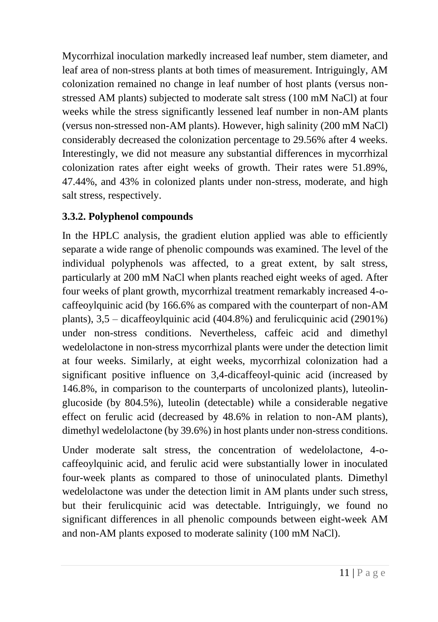Mycorrhizal inoculation markedly increased leaf number, stem diameter, and leaf area of non-stress plants at both times of measurement. Intriguingly, AM colonization remained no change in leaf number of host plants (versus nonstressed AM plants) subjected to moderate salt stress (100 mM NaCl) at four weeks while the stress significantly lessened leaf number in non-AM plants (versus non-stressed non-AM plants). However, high salinity (200 mM NaCl) considerably decreased the colonization percentage to 29.56% after 4 weeks. Interestingly, we did not measure any substantial differences in mycorrhizal colonization rates after eight weeks of growth. Their rates were 51.89%, 47.44%, and 43% in colonized plants under non-stress, moderate, and high salt stress, respectively.

## **3.3.2. Polyphenol compounds**

In the HPLC analysis, the gradient elution applied was able to efficiently separate a wide range of phenolic compounds was examined. The level of the individual polyphenols was affected, to a great extent, by salt stress, particularly at 200 mM NaCl when plants reached eight weeks of aged. After four weeks of plant growth, mycorrhizal treatment remarkably increased 4-οcaffeoylquinic acid (by 166.6% as compared with the counterpart of non-AM plants), 3,5 – dicaffeoylquinic acid (404.8%) and ferulicquinic acid (2901%) under non-stress conditions. Nevertheless, caffeic acid and dimethyl wedelolactone in non-stress mycorrhizal plants were under the detection limit at four weeks. Similarly, at eight weeks, mycorrhizal colonization had a significant positive influence on 3,4-dicaffeoyl-quinic acid (increased by 146.8%, in comparison to the counterparts of uncolonized plants), luteolinglucoside (by 804.5%), luteolin (detectable) while a considerable negative effect on ferulic acid (decreased by 48.6% in relation to non-AM plants), dimethyl wedelolactone (by 39.6%) in host plants under non-stress conditions.

Under moderate salt stress, the concentration of wedelolactone, 4-οcaffeoylquinic acid, and ferulic acid were substantially lower in inoculated four-week plants as compared to those of uninoculated plants. Dimethyl wedelolactone was under the detection limit in AM plants under such stress, but their ferulicquinic acid was detectable. Intriguingly, we found no significant differences in all phenolic compounds between eight-week AM and non-AM plants exposed to moderate salinity (100 mM NaCl).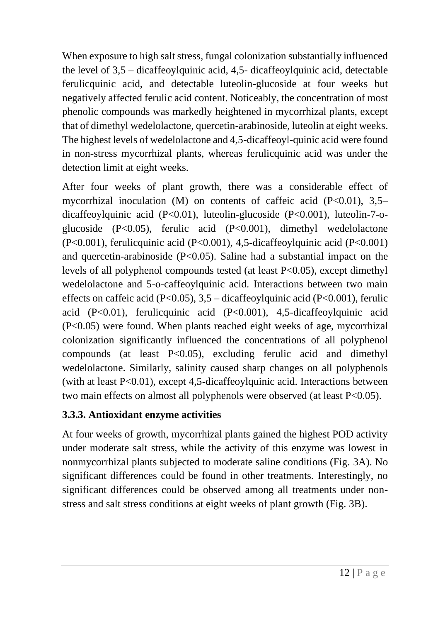When exposure to high salt stress, fungal colonization substantially influenced the level of 3,5 – dicaffeoylquinic acid, 4,5- dicaffeoylquinic acid, detectable ferulicquinic acid, and detectable luteolin-glucoside at four weeks but negatively affected ferulic acid content. Noticeably, the concentration of most phenolic compounds was markedly heightened in mycorrhizal plants, except that of dimethyl wedelolactone, quercetin-arabinoside, luteolin at eight weeks. The highest levels of wedelolactone and 4,5-dicaffeoyl-quinic acid were found in non-stress mycorrhizal plants, whereas ferulicquinic acid was under the detection limit at eight weeks.

After four weeks of plant growth, there was a considerable effect of mycorrhizal inoculation (M) on contents of caffeic acid  $(P<0.01)$ , 3,5– dicaffeoylquinic acid (P<0.01), luteolin-glucoside (P<0.001), luteolin-7-oglucoside (P<0.05), ferulic acid (P<0.001), dimethyl wedelolactone (P<0.001), ferulicquinic acid (P<0.001), 4,5-dicaffeoylquinic acid (P<0.001) and quercetin-arabinoside  $(P<0.05)$ . Saline had a substantial impact on the levels of all polyphenol compounds tested (at least P<0.05), except dimethyl wedelolactone and 5-o-caffeoylquinic acid. Interactions between two main effects on caffeic acid (P<0.05),  $3.5$  – dicaffeoylquinic acid (P<0.001), ferulic acid (P<0.01), ferulicquinic acid (P<0.001), 4,5-dicaffeoylquinic acid (P<0.05) were found. When plants reached eight weeks of age, mycorrhizal colonization significantly influenced the concentrations of all polyphenol compounds (at least P<0.05), excluding ferulic acid and dimethyl wedelolactone. Similarly, salinity caused sharp changes on all polyphenols (with at least P<0.01), except 4,5-dicaffeoylquinic acid. Interactions between two main effects on almost all polyphenols were observed (at least P<0.05).

### **3.3.3. Antioxidant enzyme activities**

At four weeks of growth, mycorrhizal plants gained the highest POD activity under moderate salt stress, while the activity of this enzyme was lowest in nonmycorrhizal plants subjected to moderate saline conditions (Fig. 3A). No significant differences could be found in other treatments. Interestingly, no significant differences could be observed among all treatments under nonstress and salt stress conditions at eight weeks of plant growth (Fig. 3B).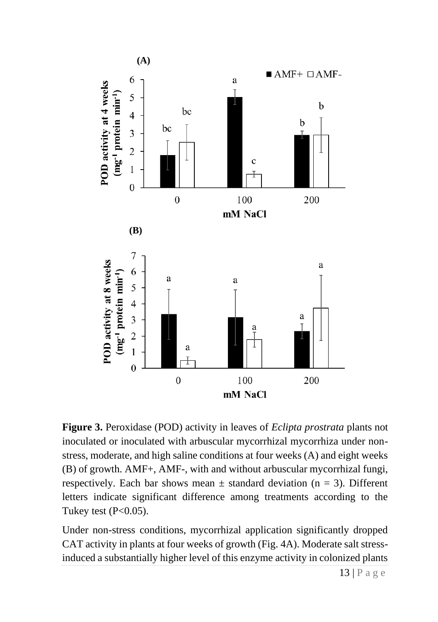

**Figure 3.** Peroxidase (POD) activity in leaves of *Eclipta prostrata* plants not inoculated or inoculated with arbuscular mycorrhizal mycorrhiza under nonstress, moderate, and high saline conditions at four weeks (A) and eight weeks (B) of growth. AMF+, AMF-, with and without arbuscular mycorrhizal fungi, respectively. Each bar shows mean  $\pm$  standard deviation (n = 3). Different letters indicate significant difference among treatments according to the Tukey test  $(P<0.05)$ .

Under non-stress conditions, mycorrhizal application significantly dropped CAT activity in plants at four weeks of growth (Fig. 4A). Moderate salt stressinduced a substantially higher level of this enzyme activity in colonized plants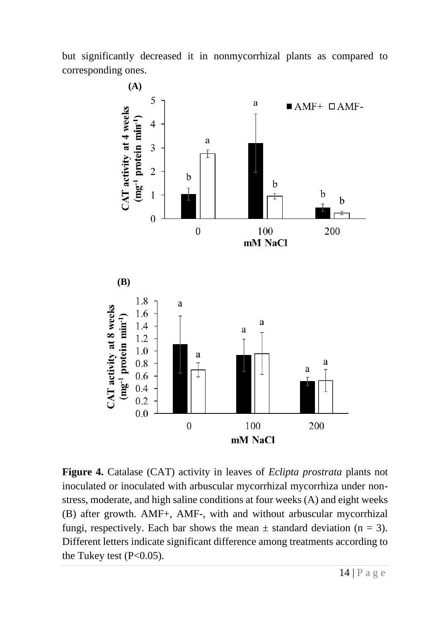but significantly decreased it in nonmycorrhizal plants as compared to corresponding ones.



**Figure 4.** Catalase (CAT) activity in leaves of *Eclipta prostrata* plants not inoculated or inoculated with arbuscular mycorrhizal mycorrhiza under nonstress, moderate, and high saline conditions at four weeks (A) and eight weeks (B) after growth. AMF+, AMF-, with and without arbuscular mycorrhizal fungi, respectively. Each bar shows the mean  $\pm$  standard deviation (n = 3). Different letters indicate significant difference among treatments according to the Tukey test  $(P<0.05)$ .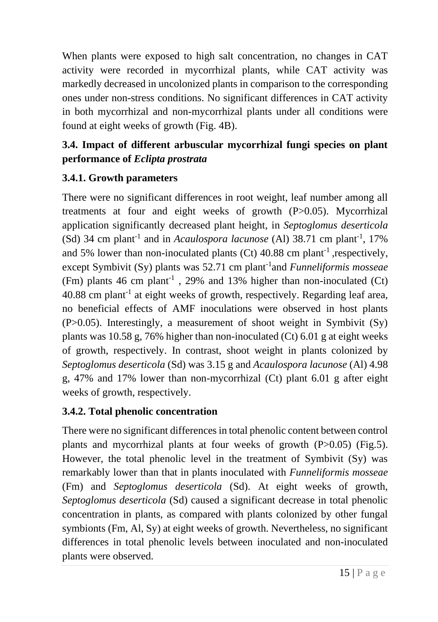When plants were exposed to high salt concentration, no changes in CAT activity were recorded in mycorrhizal plants, while CAT activity was markedly decreased in uncolonized plants in comparison to the corresponding ones under non-stress conditions. No significant differences in CAT activity in both mycorrhizal and non-mycorrhizal plants under all conditions were found at eight weeks of growth (Fig. 4B).

## **3.4. Impact of different arbuscular mycorrhizal fungi species on plant performance of** *Eclipta prostrata*

## **3.4.1. Growth parameters**

There were no significant differences in root weight, leaf number among all treatments at four and eight weeks of growth (P>0.05). Mycorrhizal application significantly decreased plant height, in *Septoglomus deserticola*  $(Sd)$  34 cm plant<sup>-1</sup> and in *Acaulospora lacunose* (Al) 38.71 cm plant<sup>-1</sup>, 17% and 5% lower than non-inoculated plants (Ct)  $40.88$  cm plant<sup>-1</sup>, respectively, except Symbivit (Sy) plants was 52.71 cm plant<sup>-1</sup>and *Funneliformis mosseae* (Fm) plants 46 cm plant<sup>-1</sup>, 29% and 13% higher than non-inoculated (Ct) 40.88 cm plant<sup>-1</sup> at eight weeks of growth, respectively. Regarding leaf area, no beneficial effects of AMF inoculations were observed in host plants  $(P>0.05)$ . Interestingly, a measurement of shoot weight in Symbivit  $(Sy)$ plants was 10.58 g, 76% higher than non-inoculated (Ct) 6.01 g at eight weeks of growth, respectively. In contrast, shoot weight in plants colonized by *Septoglomus deserticola* (Sd) was 3.15 g and *Acaulospora lacunose* (Al) 4.98 g, 47% and 17% lower than non-mycorrhizal (Ct) plant 6.01 g after eight weeks of growth, respectively.

## **3.4.2. Total phenolic concentration**

There were no significant differences in total phenolic content between control plants and mycorrhizal plants at four weeks of growth (P>0.05) (Fig.5). However, the total phenolic level in the treatment of Symbivit (Sy) was remarkably lower than that in plants inoculated with *Funneliformis mosseae* (Fm) and *Septoglomus deserticola* (Sd). At eight weeks of growth, *Septoglomus deserticola* (Sd) caused a significant decrease in total phenolic concentration in plants, as compared with plants colonized by other fungal symbionts (Fm, Al, Sy) at eight weeks of growth. Nevertheless, no significant differences in total phenolic levels between inoculated and non-inoculated plants were observed.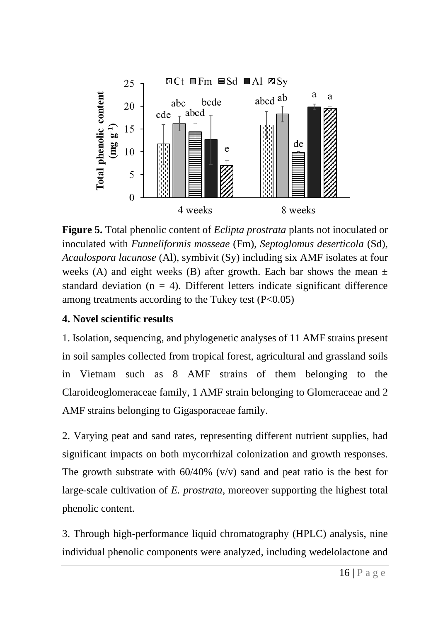

**Figure 5.** Total phenolic content of *Eclipta prostrata* plants not inoculated or inoculated with *Funneliformis mosseae* (Fm), *Septoglomus deserticola* (Sd), *Acaulospora lacunose* (Al), symbivit (Sy) including six AMF isolates at four weeks (A) and eight weeks (B) after growth. Each bar shows the mean  $\pm$ standard deviation ( $n = 4$ ). Different letters indicate significant difference among treatments according to the Tukey test  $(P<0.05)$ 

### **4. Novel scientific results**

1. Isolation, sequencing, and phylogenetic analyses of 11 AMF strains present in soil samples collected from tropical forest, agricultural and grassland soils in Vietnam such as 8 AMF strains of them belonging to the Claroideoglomeraceae family, 1 AMF strain belonging to Glomeraceae and 2 AMF strains belonging to Gigasporaceae family.

2. Varying peat and sand rates, representing different nutrient supplies, had significant impacts on both mycorrhizal colonization and growth responses. The growth substrate with  $60/40\%$  (v/v) sand and peat ratio is the best for large-scale cultivation of *E. prostrata*, moreover supporting the highest total phenolic content.

3. Through high-performance liquid chromatography (HPLC) analysis, nine individual phenolic components were analyzed, including wedelolactone and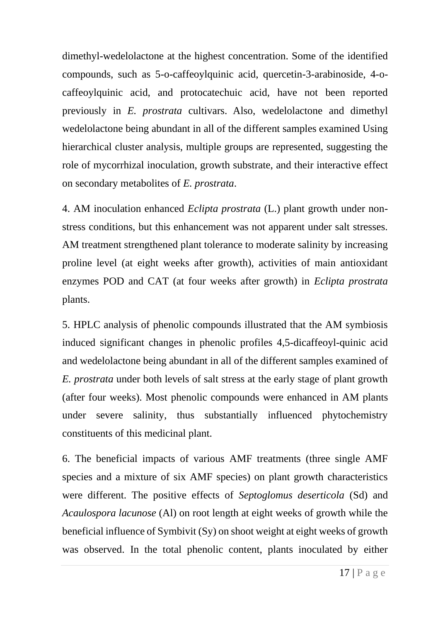dimethyl-wedelolactone at the highest concentration. Some of the identified compounds, such as 5-o-caffeoylquinic acid, quercetin-3-arabinoside, 4-ocaffeoylquinic acid, and protocatechuic acid, have not been reported previously in *E. prostrata* cultivars. Also, wedelolactone and dimethyl wedelolactone being abundant in all of the different samples examined Using hierarchical cluster analysis, multiple groups are represented, suggesting the role of mycorrhizal inoculation, growth substrate, and their interactive effect on secondary metabolites of *E. prostrata*.

4. AM inoculation enhanced *Eclipta prostrata* (L.) plant growth under nonstress conditions, but this enhancement was not apparent under salt stresses. AM treatment strengthened plant tolerance to moderate salinity by increasing proline level (at eight weeks after growth), activities of main antioxidant enzymes POD and CAT (at four weeks after growth) in *Eclipta prostrata* plants.

5. HPLC analysis of phenolic compounds illustrated that the AM symbiosis induced significant changes in phenolic profiles 4,5-dicaffeoyl-quinic acid and wedelolactone being abundant in all of the different samples examined of *E. prostrata* under both levels of salt stress at the early stage of plant growth (after four weeks). Most phenolic compounds were enhanced in AM plants under severe salinity, thus substantially influenced phytochemistry constituents of this medicinal plant.

6. The beneficial impacts of various AMF treatments (three single AMF species and a mixture of six AMF species) on plant growth characteristics were different. The positive effects of *Septoglomus deserticola* (Sd) and *Acaulospora lacunose* (Al) on root length at eight weeks of growth while the beneficial influence of Symbivit (Sy) on shoot weight at eight weeks of growth was observed. In the total phenolic content, plants inoculated by either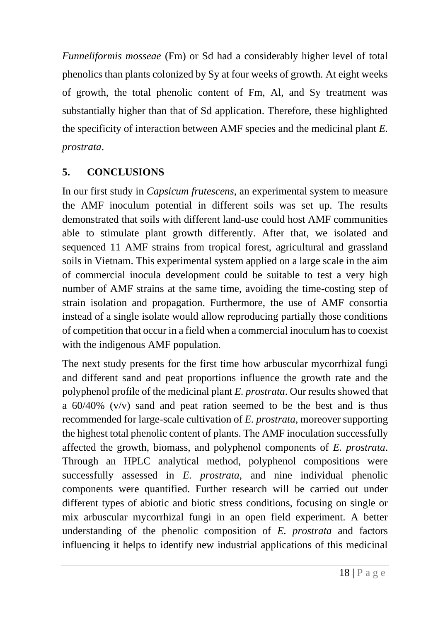*Funneliformis mosseae* (Fm) or Sd had a considerably higher level of total phenolics than plants colonized by Sy at four weeks of growth. At eight weeks of growth, the total phenolic content of Fm, Al, and Sy treatment was substantially higher than that of Sd application. Therefore, these highlighted the specificity of interaction between AMF species and the medicinal plant *E. prostrata*.

## **5. CONCLUSIONS**

In our first study in *Capsicum frutescens*, an experimental system to measure the AMF inoculum potential in different soils was set up. The results demonstrated that soils with different land-use could host AMF communities able to stimulate plant growth differently. After that, we isolated and sequenced 11 AMF strains from tropical forest, agricultural and grassland soils in Vietnam. This experimental system applied on a large scale in the aim of commercial inocula development could be suitable to test a very high number of AMF strains at the same time, avoiding the time-costing step of strain isolation and propagation. Furthermore, the use of AMF consortia instead of a single isolate would allow reproducing partially those conditions of competition that occur in a field when a commercial inoculum has to coexist with the indigenous AMF population.

The next study presents for the first time how arbuscular mycorrhizal fungi and different sand and peat proportions influence the growth rate and the polyphenol profile of the medicinal plant *E. prostrata*. Our results showed that a  $60/40\%$  (v/v) sand and peat ration seemed to be the best and is thus recommended for large-scale cultivation of *E. prostrata*, moreover supporting the highest total phenolic content of plants. The AMF inoculation successfully affected the growth, biomass, and polyphenol components of *E. prostrata*. Through an HPLC analytical method, polyphenol compositions were successfully assessed in *E. prostrata*, and nine individual phenolic components were quantified. Further research will be carried out under different types of abiotic and biotic stress conditions, focusing on single or mix arbuscular mycorrhizal fungi in an open field experiment. A better understanding of the phenolic composition of *E. prostrata* and factors influencing it helps to identify new industrial applications of this medicinal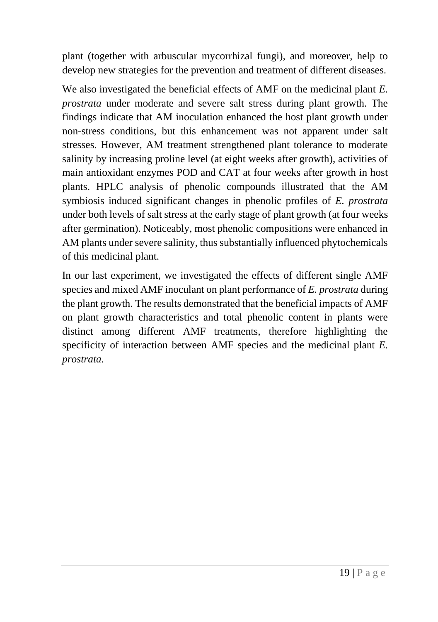plant (together with arbuscular mycorrhizal fungi), and moreover, help to develop new strategies for the prevention and treatment of different diseases.

We also investigated the beneficial effects of AMF on the medicinal plant *E. prostrata* under moderate and severe salt stress during plant growth. The findings indicate that AM inoculation enhanced the host plant growth under non-stress conditions, but this enhancement was not apparent under salt stresses. However, AM treatment strengthened plant tolerance to moderate salinity by increasing proline level (at eight weeks after growth), activities of main antioxidant enzymes POD and CAT at four weeks after growth in host plants. HPLC analysis of phenolic compounds illustrated that the AM symbiosis induced significant changes in phenolic profiles of *E. prostrata*  under both levels of salt stress at the early stage of plant growth (at four weeks after germination). Noticeably, most phenolic compositions were enhanced in AM plants under severe salinity, thus substantially influenced phytochemicals of this medicinal plant.

In our last experiment, we investigated the effects of different single AMF species and mixed AMF inoculant on plant performance of *E. prostrata* during the plant growth. The results demonstrated that the beneficial impacts of AMF on plant growth characteristics and total phenolic content in plants were distinct among different AMF treatments, therefore highlighting the specificity of interaction between AMF species and the medicinal plant *E. prostrata.*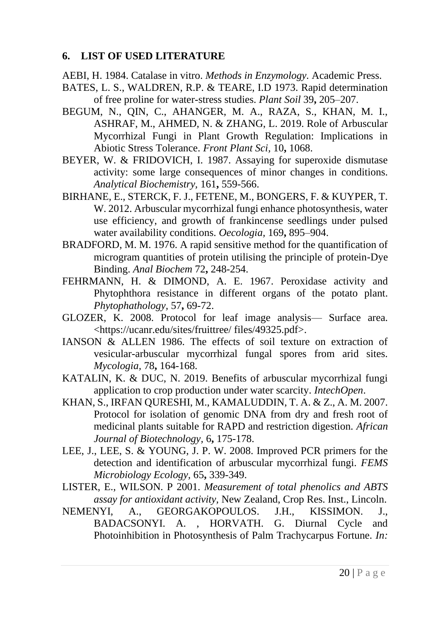#### **6. LIST OF USED LITERATURE**

AEBI, H. 1984. Catalase in vitro. *Methods in Enzymology.* Academic Press.

- BATES, L. S., WALDREN, R.P. & TEARE, I.D 1973. Rapid determination of free proline for water-stress studies. *Plant Soil* 39**,** 205–207.
- BEGUM, N., QIN, C., AHANGER, M. A., RAZA, S., KHAN, M. I., ASHRAF, M., AHMED, N. & ZHANG, L. 2019. Role of Arbuscular Mycorrhizal Fungi in Plant Growth Regulation: Implications in Abiotic Stress Tolerance. *Front Plant Sci,* 10**,** 1068.
- BEYER, W. & FRIDOVICH, I. 1987. Assaying for superoxide dismutase activity: some large consequences of minor changes in conditions. *Analytical Biochemistry,* 161**,** 559-566.
- BIRHANE, E., STERCK, F. J., FETENE, M., BONGERS, F. & KUYPER, T. W. 2012. Arbuscular mycorrhizal fungi enhance photosynthesis, water use efficiency, and growth of frankincense seedlings under pulsed water availability conditions. *Oecologia,* 169**,** 895–904.
- BRADFORD, M. M. 1976. A rapid sensitive method for the quantification of microgram quantities of protein utilising the principle of protein-Dye Binding. *Anal Biochem* 72**,** 248-254.
- FEHRMANN, H. & DIMOND, A. E. 1967. Peroxidase activity and Phytophthora resistance in different organs of the potato plant. *Phytophathology,* 57**,** 69-72.
- GLOZER, K. 2008. Protocol for leaf image analysis— Surface area. [<https://ucanr.edu/sites/fruittree/](https://ucanr.edu/sites/fruittree/) files/49325.pdf>.
- IANSON & ALLEN 1986. The effects of soil texture on extraction of vesicular-arbuscular mycorrhizal fungal spores from arid sites. *Mycologia,* 78**,** 164-168.
- KATALIN, K. & DUC, N. 2019. Benefits of arbuscular mycorrhizal fungi application to crop production under water scarcity. *IntechOpen*.
- KHAN, S., IRFAN QURESHI, M., KAMALUDDIN, T. A. & Z., A. M. 2007. Protocol for isolation of genomic DNA from dry and fresh root of medicinal plants suitable for RAPD and restriction digestion. *African Journal of Biotechnology,* 6**,** 175-178.
- LEE, J., LEE, S. & YOUNG, J. P. W. 2008. Improved PCR primers for the detection and identification of arbuscular mycorrhizal fungi. *FEMS Microbiology Ecology,* 65**,** 339-349.
- LISTER, E., WILSON. P 2001. *Measurement of total phenolics and ABTS assay for antioxidant activity,* New Zealand, Crop Res. Inst., Lincoln.
- NEMENYI, A., GEORGAKOPOULOS. J.H., KISSIMON. J., BADACSONYI. A. , HORVATH. G. Diurnal Cycle and Photoinhibition in Photosynthesis of Palm Trachycarpus Fortune. *In:*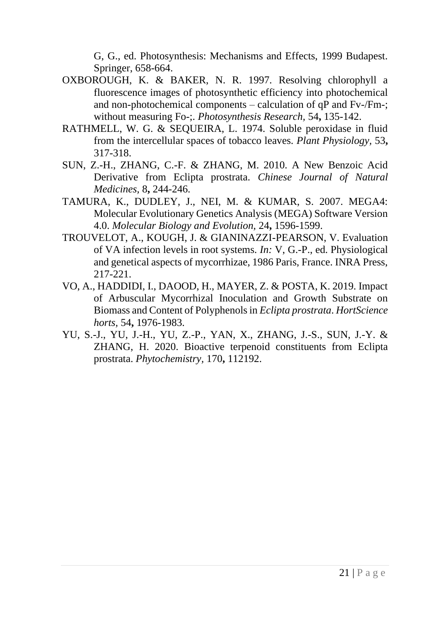G, G., ed. Photosynthesis: Mechanisms and Effects, 1999 Budapest. Springer, 658-664.

- OXBOROUGH, K. & BAKER, N. R. 1997. Resolving chlorophyll a fluorescence images of photosynthetic efficiency into photochemical and non-photochemical components – calculation of qP and Fv-/Fm-; without measuring Fo-;. *Photosynthesis Research,* 54**,** 135-142.
- RATHMELL, W. G. & SEQUEIRA, L. 1974. Soluble peroxidase in fluid from the intercellular spaces of tobacco leaves. *Plant Physiology,* 53**,** 317-318.
- SUN, Z.-H., ZHANG, C.-F. & ZHANG, M. 2010. A New Benzoic Acid Derivative from Eclipta prostrata. *Chinese Journal of Natural Medicines,* 8**,** 244-246.
- TAMURA, K., DUDLEY, J., NEI, M. & KUMAR, S. 2007. MEGA4: Molecular Evolutionary Genetics Analysis (MEGA) Software Version 4.0. *Molecular Biology and Evolution,* 24**,** 1596-1599.
- TROUVELOT, A., KOUGH, J. & GIANINAZZI-PEARSON, V. Evaluation of VA infection levels in root systems. *In:* V, G.-P., ed. Physiological and genetical aspects of mycorrhizae, 1986 Paris, France. INRA Press, 217-221.
- VO, A., HADDIDI, I., DAOOD, H., MAYER, Z. & POSTA, K. 2019. Impact of Arbuscular Mycorrhizal Inoculation and Growth Substrate on Biomass and Content of Polyphenols in *Eclipta prostrata*. *HortScience horts,* 54**,** 1976-1983.
- YU, S.-J., YU, J.-H., YU, Z.-P., YAN, X., ZHANG, J.-S., SUN, J.-Y. & ZHANG, H. 2020. Bioactive terpenoid constituents from Eclipta prostrata. *Phytochemistry,* 170**,** 112192.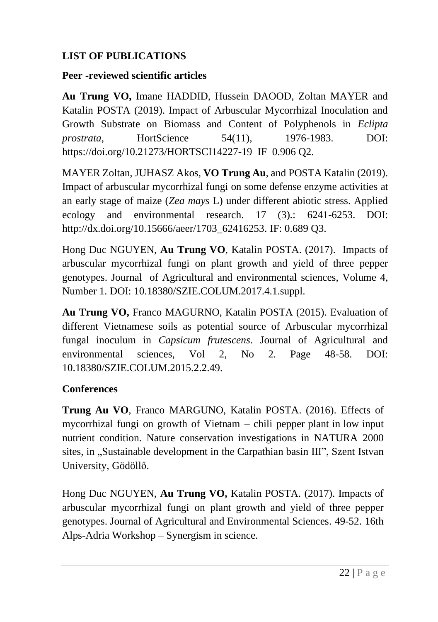### **LIST OF PUBLICATIONS**

#### **Peer -reviewed scientific articles**

**Au Trung VO,** Imane HADDID, Hussein DAOOD, Zoltan MAYER and Katalin POSTA (2019). Impact of Arbuscular Mycorrhizal Inoculation and Growth Substrate on Biomass and Content of Polyphenols in *Eclipta prostrata*, HortScience 54(11), 1976-1983. DOI: <https://doi.org/10.21273/HORTSCI14227-19>IF 0.906 Q2.

MAYER Zoltan, JUHASZ Akos, **VO Trung Au**, and POSTA Katalin (2019). Impact of arbuscular mycorrhizal fungi on some defense enzyme activities at an early stage of maize (*Zea mays* L) under different abiotic stress. Applied ecology and environmental research. 17 (3).: 6241-6253. DOI[:](http://dx.doi.org/10.15666/aeer/1703_62416253) [http://dx.doi.org/10.15666/aeer/1703\\_62416253.](http://dx.doi.org/10.15666/aeer/1703_62416253) IF: 0.689 Q3.

Hong Duc NGUYEN, **Au Trung VO**, Katalin POSTA. (2017). Impacts of arbuscular mycorrhizal fungi on plant growth and yield of three pepper genotypes. Journal of Agricultural and environmental sciences, Volume 4, Number 1. DOI: 10.18380/SZIE.COLUM.2017.4.1.suppl.

**Au Trung VO,** Franco MAGURNO, Katalin POSTA (2015). Evaluation of different Vietnamese soils as potential source of Arbuscular mycorrhizal fungal inoculum in *Capsicum frutescens*. Journal of Agricultural and environmental sciences, Vol 2, No 2. Page 48-58. DOI: 10.18380/SZIE.COLUM.2015.2.2.49.

## **Conferences**

**Trung Au VO**, Franco MARGUNO, Katalin POSTA. (2016). Effects of mycorrhizal fungi on growth of Vietnam – chili pepper plant in low input nutrient condition. Nature conservation investigations in NATURA 2000 sites, in "Sustainable development in the Carpathian basin III", Szent Istvan University, Gödöllő.

Hong Duc NGUYEN, **Au Trung VO,** Katalin POSTA. (2017). Impacts of arbuscular mycorrhizal fungi on plant growth and yield of three pepper genotypes. Journal of Agricultural and Environmental Sciences. 49-52. 16th Alps-Adria Workshop – Synergism in science.